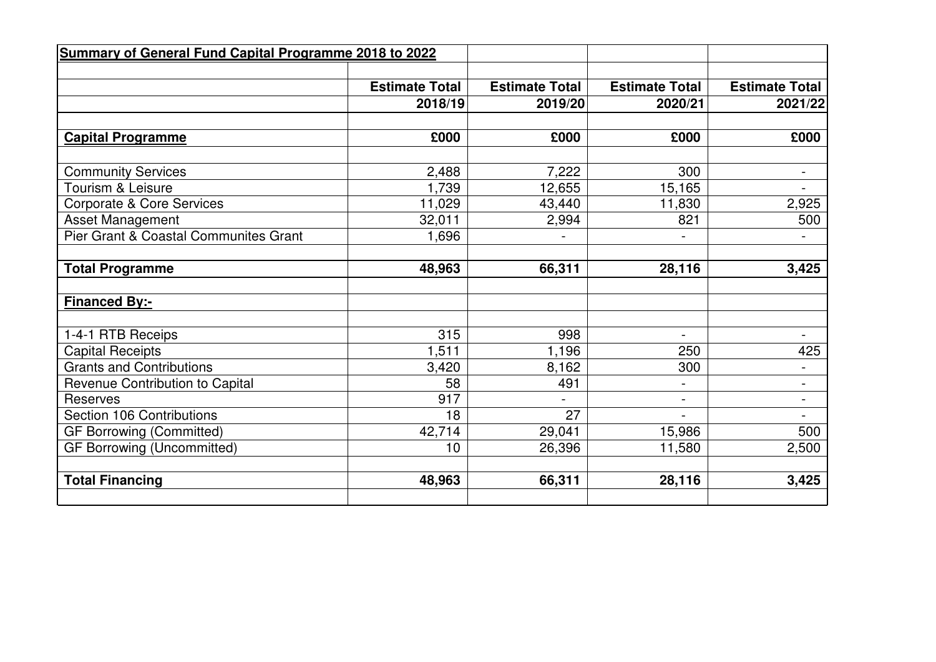| <b>Summary of General Fund Capital Programme 2018 to 2022</b> |                       |                       |                       |                       |
|---------------------------------------------------------------|-----------------------|-----------------------|-----------------------|-----------------------|
|                                                               |                       |                       |                       |                       |
|                                                               | <b>Estimate Total</b> | <b>Estimate Total</b> | <b>Estimate Total</b> | <b>Estimate Total</b> |
|                                                               | 2018/19               | 2019/20               | 2020/21               | 2021/22               |
|                                                               |                       |                       |                       |                       |
| <b>Capital Programme</b>                                      | £000                  | £000                  | £000                  | £000                  |
|                                                               |                       |                       |                       |                       |
| <b>Community Services</b>                                     | 2,488                 | 7,222                 | 300                   | $\blacksquare$        |
| Tourism & Leisure                                             | 1,739                 | 12,655                | 15,165                |                       |
| <b>Corporate &amp; Core Services</b>                          | 11,029                | 43,440                | 11,830                | 2,925                 |
| <b>Asset Management</b>                                       | 32,011                | 2,994                 | 821                   | 500                   |
| Pier Grant & Coastal Communites Grant                         | 1,696                 |                       |                       |                       |
|                                                               |                       |                       |                       |                       |
| <b>Total Programme</b>                                        | 48,963                | 66,311                | 28,116                | 3,425                 |
|                                                               |                       |                       |                       |                       |
| <b>Financed By:-</b>                                          |                       |                       |                       |                       |
|                                                               |                       |                       |                       |                       |
| 1-4-1 RTB Receips                                             | 315                   | 998                   |                       | $\blacksquare$        |
| <b>Capital Receipts</b>                                       | 1,511                 | 1,196                 | 250                   | 425                   |
| <b>Grants and Contributions</b>                               | 3,420                 | 8,162                 | 300                   | $\blacksquare$        |
| Revenue Contribution to Capital                               | 58                    | 491                   |                       | $\blacksquare$        |
| <b>Reserves</b>                                               | 917                   |                       | L,                    | $\blacksquare$        |
| Section 106 Contributions                                     | 18                    | 27                    |                       | $\blacksquare$        |
| <b>GF Borrowing (Committed)</b>                               | 42,714                | 29,041                | 15,986                | 500                   |
| <b>GF Borrowing (Uncommitted)</b>                             | 10                    | 26,396                | 11,580                | 2,500                 |
|                                                               |                       |                       |                       |                       |
| <b>Total Financing</b>                                        | 48,963                | 66,311                | 28,116                | 3,425                 |
|                                                               |                       |                       |                       |                       |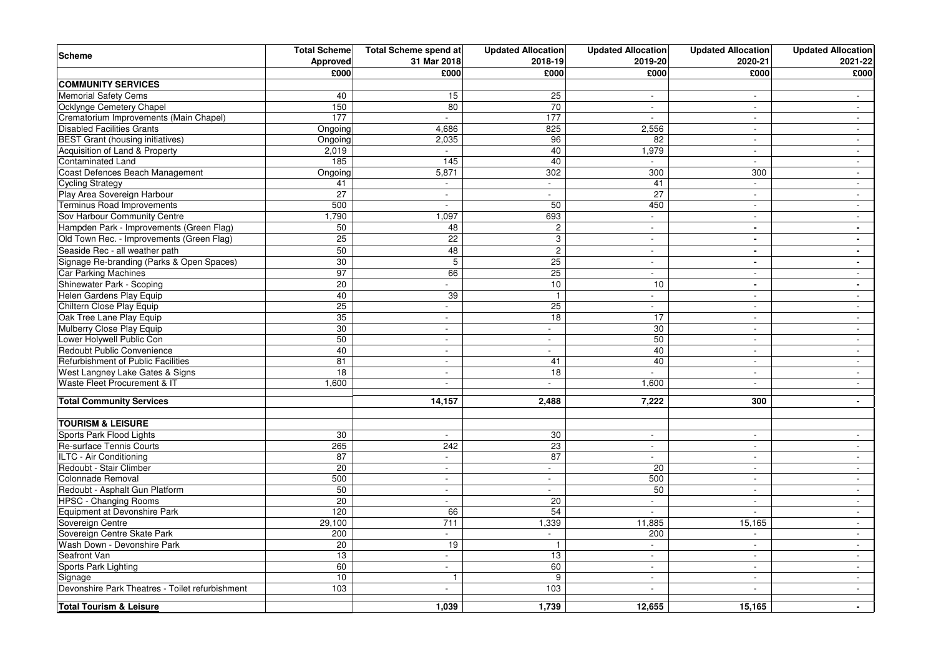| <b>Scheme</b>                                   | <b>Total Scheme</b> | <b>Total Scheme spend at</b> | <b>Updated Allocation</b>   | <b>Updated Allocation</b>   | <b>Updated Allocation</b> | <b>Updated Allocation</b> |
|-------------------------------------------------|---------------------|------------------------------|-----------------------------|-----------------------------|---------------------------|---------------------------|
|                                                 | Approved            | 31 Mar 2018                  | 2018-19                     | 2019-20                     | 2020-21                   | 2021-22                   |
|                                                 | £000                | £000                         | £000                        | £000                        | £000                      | £000                      |
| <b>COMMUNITY SERVICES</b>                       |                     |                              |                             |                             |                           |                           |
| <b>Memorial Safety Cems</b>                     | 40                  | 15                           | 25                          | $\mathbf{r}$                | $\sim$                    | $\mathbf{r}$              |
| Ocklynge Cemetery Chapel                        | 150                 | 80                           | 70                          | L,                          | $\sim$                    | $\sim$                    |
| Crematorium Improvements (Main Chapel)          | 177                 | $\sim$                       | 177                         | $\mathbf{r}$                | $\sim$                    | $\sim$                    |
| <b>Disabled Facilities Grants</b>               | Ongoing             | 4,686                        | 825                         | 2,556                       | $\sim$                    | $\overline{\phantom{a}}$  |
| <b>BEST Grant (housing initiatives)</b>         | Ongoing             | 2,035                        | 96                          | 82                          | $\sim$                    | $\sim$                    |
| Acquisition of Land & Property                  | 2,019               | $\overline{\phantom{a}}$     | 40                          | 1,979                       | $\sim$                    | $\sim$                    |
| Contaminated Land                               | 185                 | 145                          | 40                          |                             |                           | $\sim$                    |
| Coast Defences Beach Management                 | Ongoing             | 5,871                        | 302                         | 300                         | 300                       | $\blacksquare$            |
| <b>Cycling Strategy</b>                         | 41                  | $\sim$                       | $\mathcal{L}^{\mathcal{L}}$ | 41                          | $\sim$                    | $\sim$                    |
| Play Area Sovereign Harbour                     | 27                  | $\overline{a}$               | $\sim$                      | 27                          | $\sim$                    | $\sim$                    |
| <b>Terminus Road Improvements</b>               | 500                 | $\sim$                       | 50                          | 450                         | $\sim$                    | $\sim$                    |
| Sov Harbour Community Centre                    | 1,790               | 1,097                        | 693                         | $\overline{\phantom{a}}$    | $\sim$                    | $\overline{\phantom{a}}$  |
| Hampden Park - Improvements (Green Flag)        | 50                  | 48                           | $\overline{2}$              | $\blacksquare$              | $\sim$                    | $\blacksquare$            |
| Old Town Rec. - Improvements (Green Flag)       | 25                  | 22                           | $\,3$                       | ä,                          | $\overline{a}$            | $\blacksquare$            |
| Seaside Rec - all weather path                  | 50                  | 48                           | $\overline{2}$              | $\overline{a}$              | $\blacksquare$            | $\blacksquare$            |
| Signage Re-branding (Parks & Open Spaces)       | 30                  | 5                            | 25                          | $\mathbf{r}$                | $\blacksquare$            | $\blacksquare$            |
| Car Parking Machines                            | 97                  | 66                           | 25                          | $\sim$                      | $\sim$                    | $\overline{\phantom{a}}$  |
| Shinewater Park - Scoping                       | 20                  | $\overline{\phantom{a}}$     | 10                          | 10                          | $\blacksquare$            | $\sim$                    |
| Helen Gardens Play Equip                        | 40                  | 39                           | $\mathbf{1}$                | $\overline{\phantom{a}}$    | $\sim$                    | $\sim$                    |
| Chiltern Close Play Equip                       | 25                  | $\blacksquare$               | 25                          | $\overline{a}$              | $\sim$                    | $\sim$                    |
| Oak Tree Lane Play Equip                        | 35                  | ÷,                           | 18                          | 17                          |                           | $\sim$                    |
| Mulberry Close Play Equip                       | 30                  | $\blacksquare$               | $\mathbf{r}$                | 30                          | $\sim$                    | $\omega$                  |
| Lower Holywell Public Con                       | 50                  | $\overline{a}$               | $\sim$                      | 50                          | $\sim$                    | $\sim$                    |
| Redoubt Public Convenience                      | 40                  | L.                           | $\sim$                      | 40                          | $\sim$                    | $\blacksquare$            |
| Refurbishment of Public Facilities              | 81                  | $\sim$                       | 41                          | 40                          | $\sim$                    | $\sim$                    |
| West Langney Lake Gates & Signs                 | 18                  | $\sim$                       | 18                          |                             | $\sim$                    | $\sim$                    |
| Waste Fleet Procurement & IT                    | 1,600               | $\overline{\phantom{a}}$     | $\sim$                      | 1,600                       | $\sim$                    | $\sim$                    |
|                                                 |                     |                              |                             |                             |                           |                           |
| <b>Total Community Services</b>                 |                     | 14,157                       | 2,488                       | 7,222                       | 300                       | $\blacksquare$            |
|                                                 |                     |                              |                             |                             |                           |                           |
| <b>TOURISM &amp; LEISURE</b>                    |                     |                              |                             |                             |                           |                           |
| Sports Park Flood Lights                        | 30                  | $\blacksquare$               | 30                          | $\overline{\phantom{a}}$    | $\blacksquare$            | $\sim$                    |
| Re-surface Tennis Courts                        | 265                 | 242                          | 23                          | $\mathbf{r}$                | $\sim$                    | $\mathcal{L}$             |
| ILTC - Air Conditioning                         | 87                  | $\mathbf{r}$                 | 87                          | ÷.                          | $\sim$                    | $\sim$                    |
| Redoubt - Stair Climber                         | 20                  | $\sim$                       | $\mathcal{L}_{\mathcal{A}}$ | 20                          | $\sim$                    | $\sim$                    |
| Colonnade Removal                               | 500                 | $\overline{\phantom{a}}$     | $\mathbf{r}$                | 500                         | $\sim$                    | $\overline{\phantom{a}}$  |
| Redoubt - Asphalt Gun Platform                  | 50                  | $\blacksquare$               | $\sim$                      | 50                          | $\sim$                    | $\sim$                    |
| <b>HPSC - Changing Rooms</b>                    | 20                  |                              | 20                          | $\overline{a}$              |                           | $\sim$                    |
| Equipment at Devonshire Park                    | 120                 | 66                           | 54                          | L.                          | $\sim$                    | $\overline{\phantom{a}}$  |
| Sovereign Centre                                | 29,100              | 711                          | 1,339                       | 11,885                      | 15,165                    | $\blacksquare$            |
| Sovereign Centre Skate Park                     | 200                 | $\mathbf{r}$                 | $\mathcal{L}^{\mathcal{L}}$ | 200                         | $\mathbf{r}$              | $\sim$                    |
| Wash Down - Devonshire Park                     | 20                  | 19                           | $\mathbf{1}$                | $\mathcal{L}_{\mathcal{A}}$ | $\sim$                    | $\sim$                    |
| Seafront Van                                    | 13                  | $\blacksquare$               | 13                          | $\overline{\phantom{a}}$    | $\overline{a}$            | $\overline{\phantom{a}}$  |
| Sports Park Lighting                            | 60                  | $\blacksquare$               | 60                          | $\blacksquare$              | $\sim$                    | $\sim$                    |
| Signage                                         | 10                  | $\overline{1}$               | 9                           | $\sim$                      | $\sim$                    | $\sim$                    |
| Devonshire Park Theatres - Toilet refurbishment | 103                 | $\overline{a}$               | 103                         | ä,                          |                           | $\sim$                    |
| Total Tourism & Leisure                         |                     | 1,039                        | 1,739                       | 12,655                      | 15,165                    | $\blacksquare$            |